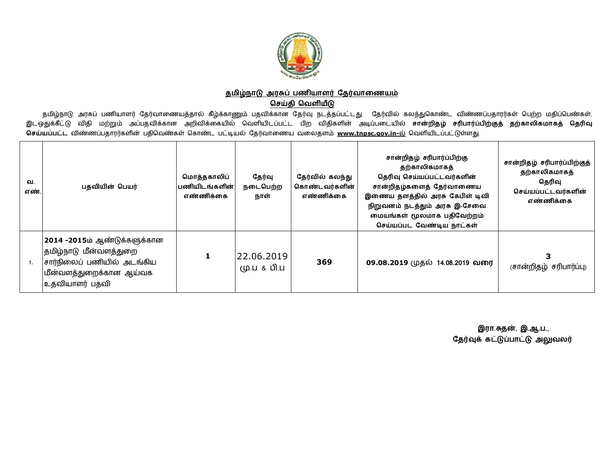

## <u>தமிழ்நாடு அரசுப் பணியாளர் தேர்வாணையம்</u>

## **ெசதி ெவளய**

தமிழ்நாடு அரசுப் பணியாளர் தேர்வாணையத்தால் கீழ்க்காணும் பதவிக்கான தேர்வு நடத்தப்பட்டது. தேர்வில் கலந்துகொண்ட விண்ணப்பதாரர்கள் பெற்ற மதிப்பெண்கள், இடஒதுக்கீட்டு விதி மற்றும் அப்பதவிக்கான அறிவிக்கையில் வெளியிடப்பட்ட பிற விதிகளின் அடிப்படையில் **சான்றிதழ் சரிபார்ப்பிற்குத் தற்காலிகமாகத் தெரிவு** ு<br>செய்யப்பட்ட விண்ணப்பதாரர்களின் பதிவெண்கள் கொண்ட பட்டியல் தேர்வாணைய வலைதளம் <u>[www.tnpsc.gov.in-](http://www.tnpsc.gov.in-)ல்</u> வெளியிடப்பட்டுள்ளது.

| வ.<br>எண். | பதவியின் பெயர்                                                                                                                      | மொத்தகாலிப்<br>பணியிடங்களின்<br>எண்ணிக்கை | தேர்வு<br>நடைபெற்ற<br>நாள் | தேர்வில் கலந்து<br>கொண்டவர்களின்<br>எண்ணிக்கை | சான்றிதழ் சரிபார்ப்பிற்கு<br>தற்காலிகமாகத்<br>தெரிவு செய்யப்பட்டவர்களின்<br>சான்றிதழ்களைத் தேர்வாணைய<br>இணைய தளத்தில் அரசு கேபிள் டிவி<br>நிறுவனம் நடத்தும் அரசு இ-சேவை<br>மையங்கள் மூலமாக பதிவேற்றம்<br>செய்யப்பட வேண்டிய நாட்கள் | சான்றிதழ் சரிபார்ப்பிற்குத்<br>தற்காலிகமாகத்<br>தெரிவு<br>செய்யப்பட்டவர்களின்<br>எண்ணிக்கை |
|------------|-------------------------------------------------------------------------------------------------------------------------------------|-------------------------------------------|----------------------------|-----------------------------------------------|------------------------------------------------------------------------------------------------------------------------------------------------------------------------------------------------------------------------------------|--------------------------------------------------------------------------------------------|
|            | 2014 -2015ம் ஆண்டுக்களுக்கான<br>தமிழ்நாடு மீன்வளத்துறை<br> சார்நிலைப் பணியில் அடங்கிய<br>மீன்வளத்துறைக்கான ஆய்வக<br> உதவியாளர் பதவி |                                           | 22.06.2019<br>மு.ப & பி.ப  | 369                                           | 09.08.2019 முதல் 14.08.2019 வரை                                                                                                                                                                                                    | (சான்றிதழ் சரிபார்ப்பு)                                                                    |

 **இரா.த}, இ.ஆ.ப.,** தேர்வுக் கட்டுப்பாட்டு அலுவலர்